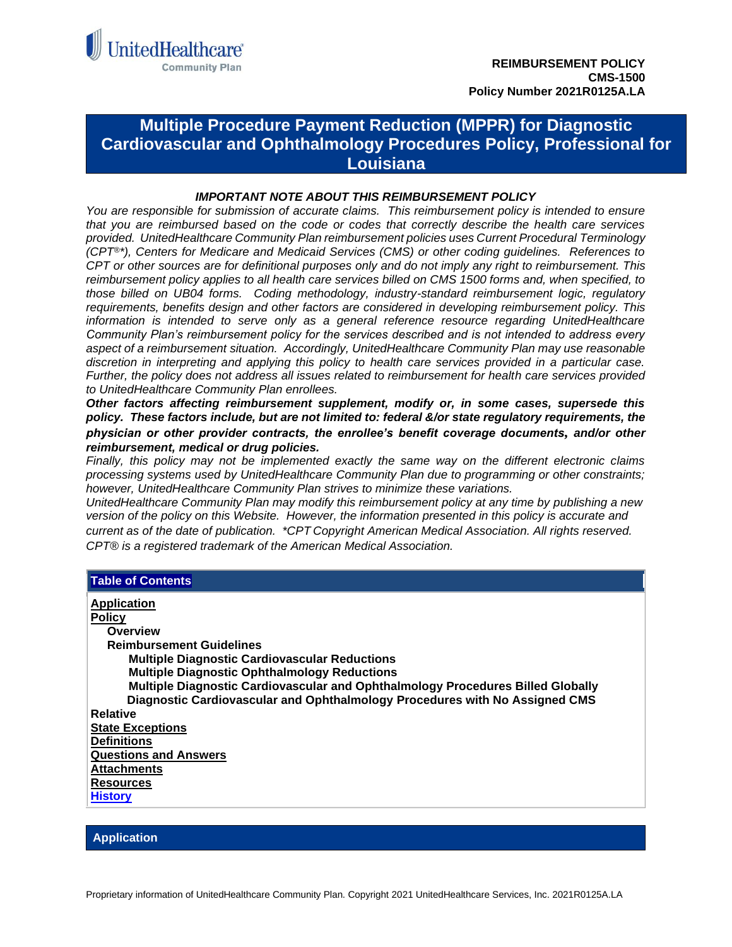

# <span id="page-0-0"></span>**Multiple Procedure Payment Reduction (MPPR) for Diagnostic Cardiovascular and Ophthalmology Procedures Policy, Professional for Louisiana**

### *IMPORTANT NOTE ABOUT THIS REIMBURSEMENT POLICY*

*You are responsible for submission of accurate claims. This reimbursement policy is intended to ensure that you are reimbursed based on the code or codes that correctly describe the health care services provided. UnitedHealthcare Community Plan reimbursement policies uses Current Procedural Terminology (CPT®\*), Centers for Medicare and Medicaid Services (CMS) or other coding guidelines. References to CPT or other sources are for definitional purposes only and do not imply any right to reimbursement. This reimbursement policy applies to all health care services billed on CMS 1500 forms and, when specified, to those billed on UB04 forms. Coding methodology, industry-standard reimbursement logic, regulatory requirements, benefits design and other factors are considered in developing reimbursement policy. This information is intended to serve only as a general reference resource regarding UnitedHealthcare Community Plan's reimbursement policy for the services described and is not intended to address every aspect of a reimbursement situation. Accordingly, UnitedHealthcare Community Plan may use reasonable discretion in interpreting and applying this policy to health care services provided in a particular case. Further, the policy does not address all issues related to reimbursement for health care services provided to UnitedHealthcare Community Plan enrollees.* 

*Other factors affecting reimbursement supplement, modify or, in some cases, supersede this policy. These factors include, but are not limited to: federal &/or state regulatory requirements, the physician or other provider contracts, the enrollee's benefit coverage documents, and/or other reimbursement, medical or drug policies.* 

*Finally, this policy may not be implemented exactly the same way on the different electronic claims processing systems used by UnitedHealthcare Community Plan due to programming or other constraints; however, UnitedHealthcare Community Plan strives to minimize these variations.*

*UnitedHealthcare Community Plan may modify this reimbursement policy at any time by publishing a new version of the policy on this Website. However, the information presented in this policy is accurate and current as of the date of publication. \*CPT Copyright American Medical Association. All rights reserved. CPT® is a registered trademark of the American Medical Association.*

| <b>Table of Contents</b>                                                        |
|---------------------------------------------------------------------------------|
| <b>Application</b>                                                              |
| <b>Policy</b>                                                                   |
| Overview                                                                        |
| <b>Reimbursement Guidelines</b>                                                 |
| <b>Multiple Diagnostic Cardiovascular Reductions</b>                            |
| <b>Multiple Diagnostic Ophthalmology Reductions</b>                             |
| Multiple Diagnostic Cardiovascular and Ophthalmology Procedures Billed Globally |
| Diagnostic Cardiovascular and Ophthalmology Procedures with No Assigned CMS     |
| <b>Relative</b>                                                                 |
| <b>State Exceptions</b>                                                         |
| <b>Definitions</b>                                                              |
| <b>Questions and Answers</b>                                                    |
| <b>Attachments</b>                                                              |
| <b>Resources</b>                                                                |
| <b>History</b>                                                                  |
|                                                                                 |

### **Application**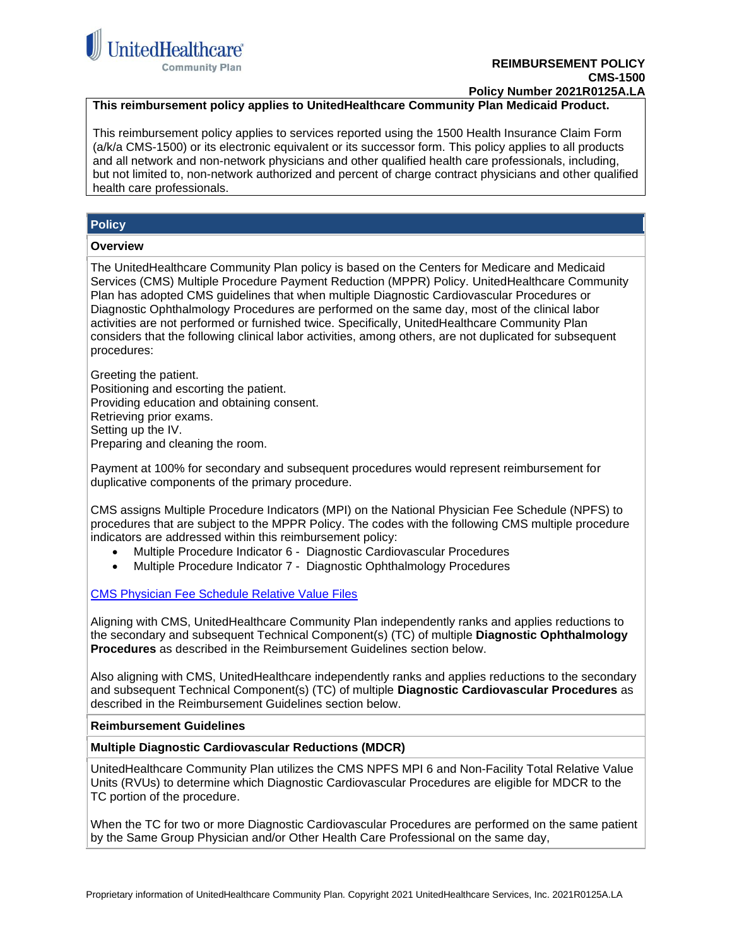

### **Policy Number 2021R0125A.LA**

## <span id="page-1-0"></span>**This reimbursement policy applies to UnitedHealthcare Community Plan Medicaid Product.**

This reimbursement policy applies to services reported using the 1500 Health Insurance Claim Form (a/k/a CMS-1500) or its electronic equivalent or its successor form. This policy applies to all products and all network and non-network physicians and other qualified health care professionals, including, but not limited to, non-network authorized and percent of charge contract physicians and other qualified health care professionals.

### <span id="page-1-1"></span>**Policy**

#### <span id="page-1-2"></span>**Overview**

The UnitedHealthcare Community Plan policy is based on the Centers for Medicare and Medicaid Services (CMS) Multiple Procedure Payment Reduction (MPPR) Policy. UnitedHealthcare Community Plan has adopted CMS guidelines that when multiple Diagnostic Cardiovascular Procedures or Diagnostic Ophthalmology Procedures are performed on the same day, most of the clinical labor activities are not performed or furnished twice. Specifically, UnitedHealthcare Community Plan considers that the following clinical labor activities, among others, are not duplicated for subsequent procedures:

Greeting the patient. Positioning and escorting the patient. Providing education and obtaining consent. Retrieving prior exams. Setting up the IV. Preparing and cleaning the room.

Payment at 100% for secondary and subsequent procedures would represent reimbursement for duplicative components of the primary procedure.

CMS assigns Multiple Procedure Indicators (MPI) on the National Physician Fee Schedule (NPFS) to procedures that are subject to the MPPR Policy. The codes with the following CMS multiple procedure indicators are addressed within this reimbursement policy:

- Multiple Procedure Indicator 6 Diagnostic Cardiovascular Procedures
- Multiple Procedure Indicator 7 Diagnostic Ophthalmology Procedures

[CMS Physician Fee Schedule Relative Value Files](https://www.cms.gov/Medicare/Medicare-Fee-for-Service-Payment/PhysicianFeeSched/PFS-Relative-Value-Files.html)

Aligning with CMS, UnitedHealthcare Community Plan independently ranks and applies reductions to the secondary and subsequent Technical Component(s) (TC) of multiple **Diagnostic Ophthalmology Procedures** as described in the Reimbursement Guidelines section below.

Also aligning with CMS, UnitedHealthcare independently ranks and applies reductions to the secondary and subsequent Technical Component(s) (TC) of multiple **Diagnostic Cardiovascular Procedures** as described in the Reimbursement Guidelines section below.

#### **Reimbursement Guidelines Reimbursement Guidelines**

#### **Multiple Diagnostic Cardiovascular Reductions (MDCR)**

UnitedHealthcare Community Plan utilizes the CMS NPFS MPI 6 and Non-Facility Total Relative Value Units (RVUs) to determine which Diagnostic Cardiovascular Procedures are eligible for MDCR to the TC portion of the procedure.

When the TC for two or more Diagnostic Cardiovascular Procedures are performed on the same patient by the Same Group Physician and/or Other Health Care Professional on the same day,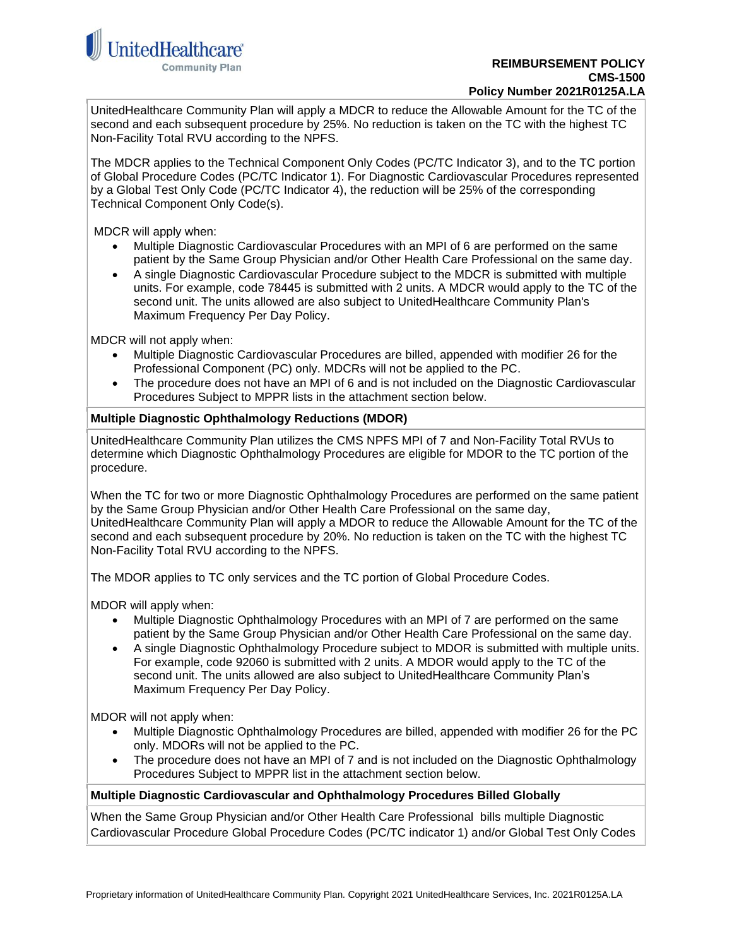

UnitedHealthcare Community Plan will apply a MDCR to reduce the Allowable Amount for the TC of the second and each subsequent procedure by 25%. No reduction is taken on the TC with the highest TC Non-Facility Total RVU according to the NPFS.

The MDCR applies to the Technical Component Only Codes (PC/TC Indicator 3), and to the TC portion of Global Procedure Codes (PC/TC Indicator 1). For Diagnostic Cardiovascular Procedures represented by a Global Test Only Code (PC/TC Indicator 4), the reduction will be 25% of the corresponding Technical Component Only Code(s).

MDCR will apply when:

- Multiple Diagnostic Cardiovascular Procedures with an MPI of 6 are performed on the same patient by the Same Group Physician and/or Other Health Care Professional on the same day.
- A single Diagnostic Cardiovascular Procedure subject to the MDCR is submitted with multiple units. For example, code 78445 is submitted with 2 units. A MDCR would apply to the TC of the second unit. The units allowed are also subject to UnitedHealthcare Community Plan's Maximum Frequency Per Day Policy.

MDCR will not apply when:

- Multiple Diagnostic Cardiovascular Procedures are billed, appended with modifier 26 for the Professional Component (PC) only. MDCRs will not be applied to the PC.
- The procedure does not have an MPI of 6 and is not included on the Diagnostic Cardiovascular Procedures Subject to MPPR lists in the attachment section below.

### **Multiple Diagnostic Ophthalmology Reductions (MDOR)**

UnitedHealthcare Community Plan utilizes the CMS NPFS MPI of 7 and Non-Facility Total RVUs to determine which Diagnostic Ophthalmology Procedures are eligible for MDOR to the TC portion of the procedure.

When the TC for two or more Diagnostic Ophthalmology Procedures are performed on the same patient by the Same Group Physician and/or Other Health Care Professional on the same day, UnitedHealthcare Community Plan will apply a MDOR to reduce the Allowable Amount for the TC of the second and each subsequent procedure by 20%. No reduction is taken on the TC with the highest TC Non-Facility Total RVU according to the NPFS.

The MDOR applies to TC only services and the TC portion of Global Procedure Codes.

MDOR will apply when:

- Multiple Diagnostic Ophthalmology Procedures with an MPI of 7 are performed on the same patient by the Same Group Physician and/or Other Health Care Professional on the same day.
- A single Diagnostic Ophthalmology Procedure subject to MDOR is submitted with multiple units. For example, code 92060 is submitted with 2 units. A MDOR would apply to the TC of the second unit. The units allowed are also subject to UnitedHealthcare Community Plan's Maximum Frequency Per Day Policy.

MDOR will not apply when:

- Multiple Diagnostic Ophthalmology Procedures are billed, appended with modifier 26 for the PC only. MDORs will not be applied to the PC.
- The procedure does not have an MPI of 7 and is not included on the Diagnostic Ophthalmology Procedures Subject to MPPR list in the attachment section below.

### **Multiple Diagnostic Cardiovascular and Ophthalmology Procedures Billed Globally**

When the Same Group Physician and/or Other Health Care Professional bills multiple Diagnostic Cardiovascular Procedure Global Procedure Codes (PC/TC indicator 1) and/or Global Test Only Codes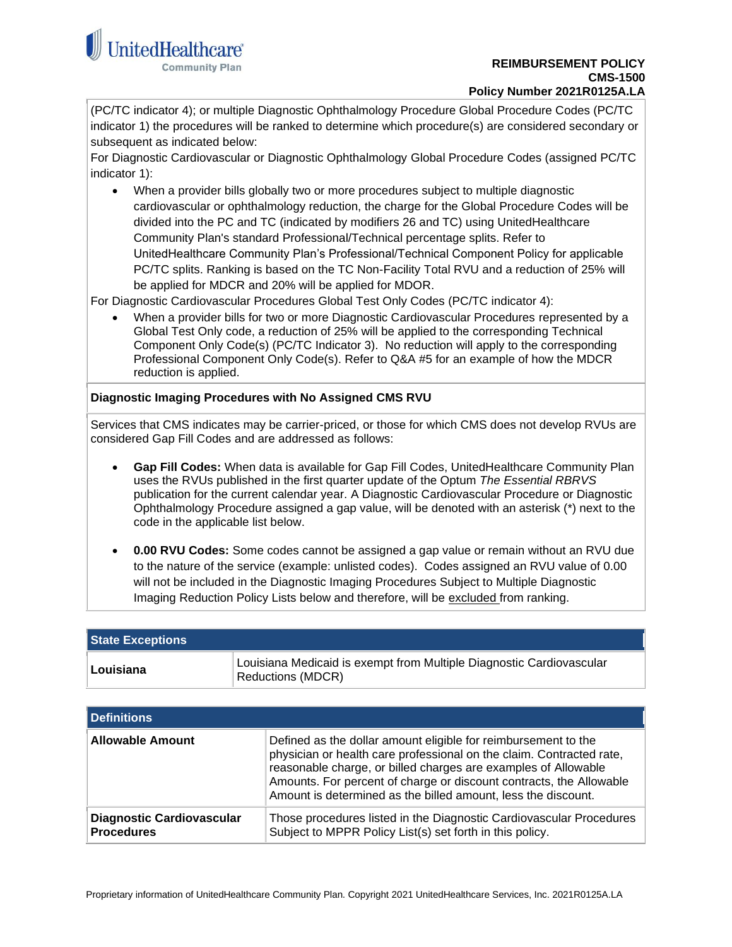

(PC/TC indicator 4); or multiple Diagnostic Ophthalmology Procedure Global Procedure Codes (PC/TC indicator 1) the procedures will be ranked to determine which procedure(s) are considered secondary or subsequent as indicated below:

For Diagnostic Cardiovascular or Diagnostic Ophthalmology Global Procedure Codes (assigned PC/TC indicator 1):

• When a provider bills globally two or more procedures subject to multiple diagnostic cardiovascular or ophthalmology reduction, the charge for the Global Procedure Codes will be divided into the PC and TC (indicated by modifiers 26 and TC) using UnitedHealthcare Community Plan's standard Professional/Technical percentage splits. Refer to UnitedHealthcare Community Plan's Professional/Technical Component Policy for applicable PC/TC splits. Ranking is based on the TC Non-Facility Total RVU and a reduction of 25% will be applied for MDCR and 20% will be applied for MDOR.

For Diagnostic Cardiovascular Procedures Global Test Only Codes (PC/TC indicator 4):

• When a provider bills for two or more Diagnostic Cardiovascular Procedures represented by a Global Test Only code, a reduction of 25% will be applied to the corresponding Technical Component Only Code(s) (PC/TC Indicator 3). No reduction will apply to the corresponding Professional Component Only Code(s). Refer to Q&A #5 for an example of how the MDCR reduction is applied.

### **Diagnostic Imaging Procedures with No Assigned CMS RVU**

Services that CMS indicates may be carrier-priced, or those for which CMS does not develop RVUs are considered Gap Fill Codes and are addressed as follows:

- **Gap Fill Codes:** When data is available for Gap Fill Codes, UnitedHealthcare Community Plan uses the RVUs published in the first quarter update of the Optum *The Essential RBRVS* publication for the current calendar year. A Diagnostic Cardiovascular Procedure or Diagnostic Ophthalmology Procedure assigned a gap value, will be denoted with an asterisk (\*) next to the code in the applicable list below.
- **0.00 RVU Codes:** Some codes cannot be assigned a gap value or remain without an RVU due to the nature of the service (example: unlisted codes). Codes assigned an RVU value of 0.00 will not be included in the Diagnostic Imaging Procedures Subject to Multiple Diagnostic Imaging Reduction Policy Lists below and therefore, will be excluded from ranking.

<span id="page-3-0"></span>

| <b>State Exceptions</b> |                                                                                           |  |
|-------------------------|-------------------------------------------------------------------------------------------|--|
| Louisiana               | Louisiana Medicaid is exempt from Multiple Diagnostic Cardiovascular<br>Reductions (MDCR) |  |

<span id="page-3-1"></span>

| l Definitions                                         |                                                                                                                                                                                                                                                                                                                                                  |  |
|-------------------------------------------------------|--------------------------------------------------------------------------------------------------------------------------------------------------------------------------------------------------------------------------------------------------------------------------------------------------------------------------------------------------|--|
| <b>Allowable Amount</b>                               | Defined as the dollar amount eligible for reimbursement to the<br>physician or health care professional on the claim. Contracted rate,<br>reasonable charge, or billed charges are examples of Allowable<br>Amounts. For percent of charge or discount contracts, the Allowable<br>Amount is determined as the billed amount, less the discount. |  |
| <b>Diagnostic Cardiovascular</b><br><b>Procedures</b> | Those procedures listed in the Diagnostic Cardiovascular Procedures<br>Subject to MPPR Policy List(s) set forth in this policy.                                                                                                                                                                                                                  |  |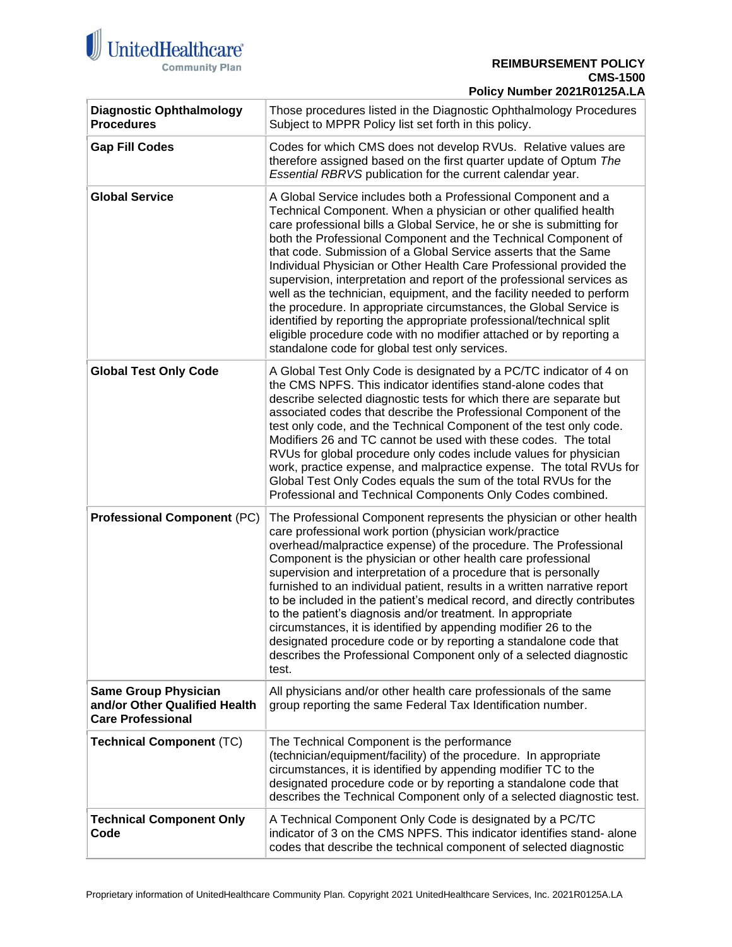

#### **REIMBURSEMENT POLICY CMS-1500 Policy Number 2021R0125A.LA**

| <b>Diagnostic Ophthalmology</b><br><b>Procedures</b>                                     | Those procedures listed in the Diagnostic Ophthalmology Procedures<br>Subject to MPPR Policy list set forth in this policy.                                                                                                                                                                                                                                                                                                                                                                                                                                                                                                                                                                                                                                                                                                                     |
|------------------------------------------------------------------------------------------|-------------------------------------------------------------------------------------------------------------------------------------------------------------------------------------------------------------------------------------------------------------------------------------------------------------------------------------------------------------------------------------------------------------------------------------------------------------------------------------------------------------------------------------------------------------------------------------------------------------------------------------------------------------------------------------------------------------------------------------------------------------------------------------------------------------------------------------------------|
| <b>Gap Fill Codes</b>                                                                    | Codes for which CMS does not develop RVUs. Relative values are<br>therefore assigned based on the first quarter update of Optum The<br>Essential RBRVS publication for the current calendar year.                                                                                                                                                                                                                                                                                                                                                                                                                                                                                                                                                                                                                                               |
| <b>Global Service</b>                                                                    | A Global Service includes both a Professional Component and a<br>Technical Component. When a physician or other qualified health<br>care professional bills a Global Service, he or she is submitting for<br>both the Professional Component and the Technical Component of<br>that code. Submission of a Global Service asserts that the Same<br>Individual Physician or Other Health Care Professional provided the<br>supervision, interpretation and report of the professional services as<br>well as the technician, equipment, and the facility needed to perform<br>the procedure. In appropriate circumstances, the Global Service is<br>identified by reporting the appropriate professional/technical split<br>eligible procedure code with no modifier attached or by reporting a<br>standalone code for global test only services. |
| <b>Global Test Only Code</b>                                                             | A Global Test Only Code is designated by a PC/TC indicator of 4 on<br>the CMS NPFS. This indicator identifies stand-alone codes that<br>describe selected diagnostic tests for which there are separate but<br>associated codes that describe the Professional Component of the<br>test only code, and the Technical Component of the test only code.<br>Modifiers 26 and TC cannot be used with these codes. The total<br>RVUs for global procedure only codes include values for physician<br>work, practice expense, and malpractice expense. The total RVUs for<br>Global Test Only Codes equals the sum of the total RVUs for the<br>Professional and Technical Components Only Codes combined.                                                                                                                                            |
| <b>Professional Component (PC)</b>                                                       | The Professional Component represents the physician or other health<br>care professional work portion (physician work/practice<br>overhead/malpractice expense) of the procedure. The Professional<br>Component is the physician or other health care professional<br>supervision and interpretation of a procedure that is personally<br>furnished to an individual patient, results in a written narrative report<br>to be included in the patient's medical record, and directly contributes<br>to the patient's diagnosis and/or treatment. In appropriate<br>circumstances, it is identified by appending modifier 26 to the<br>designated procedure code or by reporting a standalone code that<br>describes the Professional Component only of a selected diagnostic<br>test.                                                            |
| <b>Same Group Physician</b><br>and/or Other Qualified Health<br><b>Care Professional</b> | All physicians and/or other health care professionals of the same<br>group reporting the same Federal Tax Identification number.                                                                                                                                                                                                                                                                                                                                                                                                                                                                                                                                                                                                                                                                                                                |
| <b>Technical Component (TC)</b>                                                          | The Technical Component is the performance<br>(technician/equipment/facility) of the procedure. In appropriate<br>circumstances, it is identified by appending modifier TC to the<br>designated procedure code or by reporting a standalone code that<br>describes the Technical Component only of a selected diagnostic test.                                                                                                                                                                                                                                                                                                                                                                                                                                                                                                                  |
| <b>Technical Component Only</b><br>Code                                                  | A Technical Component Only Code is designated by a PC/TC<br>indicator of 3 on the CMS NPFS. This indicator identifies stand-alone<br>codes that describe the technical component of selected diagnostic                                                                                                                                                                                                                                                                                                                                                                                                                                                                                                                                                                                                                                         |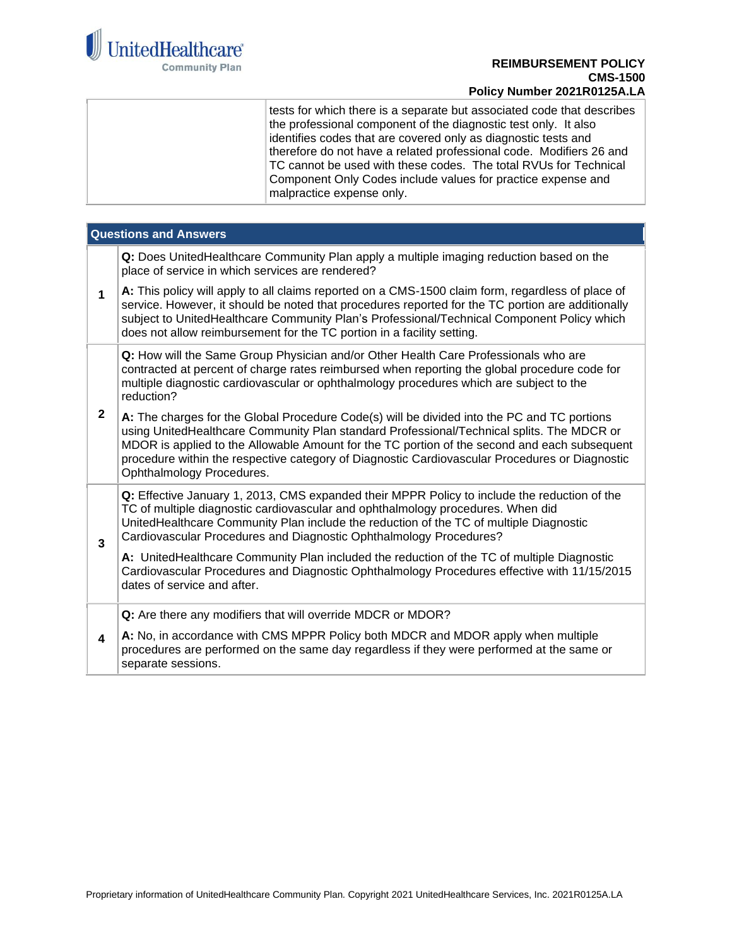

#### **REIMBURSEMENT POLICY CMS-1500 Policy Number 2021R0125A.LA**

tests for which there is a separate but associated code that describes the professional component of the diagnostic test only. It also identifies codes that are covered only as diagnostic tests and therefore do not have a related professional code. Modifiers 26 and TC cannot be used with these codes. The total RVUs for Technical Component Only Codes include values for practice expense and malpractice expense only.

<span id="page-5-0"></span>

| <b>Questions and Answers</b> |                                                                                                                                                                                                                                                                                                                                                                                                                         |  |
|------------------------------|-------------------------------------------------------------------------------------------------------------------------------------------------------------------------------------------------------------------------------------------------------------------------------------------------------------------------------------------------------------------------------------------------------------------------|--|
|                              | Q: Does UnitedHealthcare Community Plan apply a multiple imaging reduction based on the<br>place of service in which services are rendered?                                                                                                                                                                                                                                                                             |  |
| 1                            | A: This policy will apply to all claims reported on a CMS-1500 claim form, regardless of place of<br>service. However, it should be noted that procedures reported for the TC portion are additionally<br>subject to UnitedHealthcare Community Plan's Professional/Technical Component Policy which<br>does not allow reimbursement for the TC portion in a facility setting.                                          |  |
|                              | Q: How will the Same Group Physician and/or Other Health Care Professionals who are<br>contracted at percent of charge rates reimbursed when reporting the global procedure code for<br>multiple diagnostic cardiovascular or ophthalmology procedures which are subject to the<br>reduction?                                                                                                                           |  |
| $\mathbf{2}$                 | A: The charges for the Global Procedure Code(s) will be divided into the PC and TC portions<br>using UnitedHealthcare Community Plan standard Professional/Technical splits. The MDCR or<br>MDOR is applied to the Allowable Amount for the TC portion of the second and each subsequent<br>procedure within the respective category of Diagnostic Cardiovascular Procedures or Diagnostic<br>Ophthalmology Procedures. |  |
| $\overline{\mathbf{3}}$      | Q: Effective January 1, 2013, CMS expanded their MPPR Policy to include the reduction of the<br>TC of multiple diagnostic cardiovascular and ophthalmology procedures. When did<br>UnitedHealthcare Community Plan include the reduction of the TC of multiple Diagnostic<br>Cardiovascular Procedures and Diagnostic Ophthalmology Procedures?                                                                         |  |
|                              | A: UnitedHealthcare Community Plan included the reduction of the TC of multiple Diagnostic<br>Cardiovascular Procedures and Diagnostic Ophthalmology Procedures effective with 11/15/2015<br>dates of service and after.                                                                                                                                                                                                |  |
|                              | Q: Are there any modifiers that will override MDCR or MDOR?                                                                                                                                                                                                                                                                                                                                                             |  |
| 4                            | A: No, in accordance with CMS MPPR Policy both MDCR and MDOR apply when multiple<br>procedures are performed on the same day regardless if they were performed at the same or<br>separate sessions.                                                                                                                                                                                                                     |  |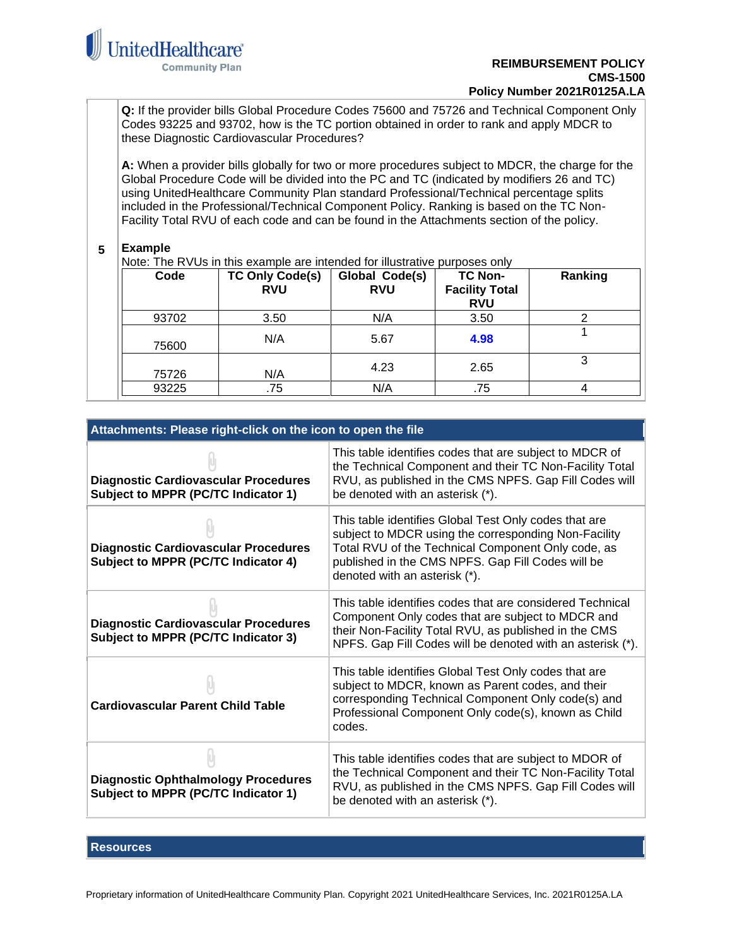

**Q:** If the provider bills Global Procedure Codes 75600 and 75726 and Technical Component Only Codes 93225 and 93702, how is the TC portion obtained in order to rank and apply MDCR to these Diagnostic Cardiovascular Procedures?

**A:** When a provider bills globally for two or more procedures subject to MDCR, the charge for the Global Procedure Code will be divided into the PC and TC (indicated by modifiers 26 and TC) using UnitedHealthcare Community Plan standard Professional/Technical percentage splits included in the Professional/Technical Component Policy. Ranking is based on the TC Non-Facility Total RVU of each code and can be found in the Attachments section of the policy.

#### **5 Example**

Note: The RVUs in this example are intended for illustrative purposes only

| Code  | <b>TC Only Code(s)</b><br><b>RVU</b> | Global Code(s)<br><b>RVU</b> | <b>TC Non-</b><br><b>Facility Total</b><br><b>RVU</b> | Ranking |
|-------|--------------------------------------|------------------------------|-------------------------------------------------------|---------|
| 93702 | 3.50                                 | N/A                          | 3.50                                                  |         |
| 75600 | N/A                                  | 5.67                         | 4.98                                                  |         |
| 75726 | N/A                                  | 4.23                         | 2.65                                                  |         |
| 93225 | .75                                  | N/A                          | .75                                                   |         |

<span id="page-6-0"></span>

| Attachments: Please right-click on the icon to open the file                       |                                                                                                                                                                                                                                                           |  |
|------------------------------------------------------------------------------------|-----------------------------------------------------------------------------------------------------------------------------------------------------------------------------------------------------------------------------------------------------------|--|
| <b>Diagnostic Cardiovascular Procedures</b><br>Subject to MPPR (PC/TC Indicator 1) | This table identifies codes that are subject to MDCR of<br>the Technical Component and their TC Non-Facility Total<br>RVU, as published in the CMS NPFS. Gap Fill Codes will<br>be denoted with an asterisk (*).                                          |  |
| <b>Diagnostic Cardiovascular Procedures</b><br>Subject to MPPR (PC/TC Indicator 4) | This table identifies Global Test Only codes that are<br>subject to MDCR using the corresponding Non-Facility<br>Total RVU of the Technical Component Only code, as<br>published in the CMS NPFS. Gap Fill Codes will be<br>denoted with an asterisk (*). |  |
| <b>Diagnostic Cardiovascular Procedures</b><br>Subject to MPPR (PC/TC Indicator 3) | This table identifies codes that are considered Technical<br>Component Only codes that are subject to MDCR and<br>their Non-Facility Total RVU, as published in the CMS<br>NPFS. Gap Fill Codes will be denoted with an asterisk (*).                     |  |
| <b>Cardiovascular Parent Child Table</b>                                           | This table identifies Global Test Only codes that are<br>subject to MDCR, known as Parent codes, and their<br>corresponding Technical Component Only code(s) and<br>Professional Component Only code(s), known as Child<br>codes.                         |  |
| <b>Diagnostic Ophthalmology Procedures</b><br>Subject to MPPR (PC/TC Indicator 1)  | This table identifies codes that are subject to MDOR of<br>the Technical Component and their TC Non-Facility Total<br>RVU, as published in the CMS NPFS. Gap Fill Codes will<br>be denoted with an asterisk (*).                                          |  |

### <span id="page-6-1"></span>**Resources**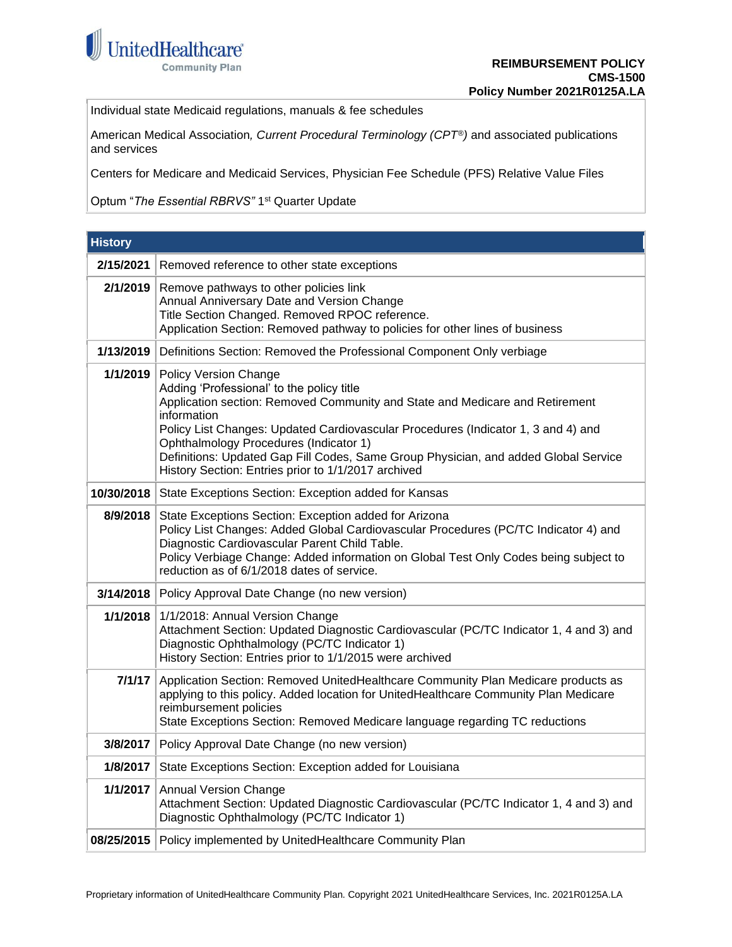

Individual state Medicaid regulations, manuals & fee schedules

American Medical Association*, Current Procedural Terminology (CPT®)* and associated publications and services

Centers for Medicare and Medicaid Services, Physician Fee Schedule (PFS) Relative Value Files

Optum "The Essential RBRVS" 1<sup>st</sup> Quarter Update

<span id="page-7-0"></span>

| <b>History</b> |                                                                                                                                                                                                                                                                                                                                                                                                                                                       |
|----------------|-------------------------------------------------------------------------------------------------------------------------------------------------------------------------------------------------------------------------------------------------------------------------------------------------------------------------------------------------------------------------------------------------------------------------------------------------------|
| 2/15/2021      | Removed reference to other state exceptions                                                                                                                                                                                                                                                                                                                                                                                                           |
| 2/1/2019       | Remove pathways to other policies link<br>Annual Anniversary Date and Version Change<br>Title Section Changed. Removed RPOC reference.<br>Application Section: Removed pathway to policies for other lines of business                                                                                                                                                                                                                                |
| 1/13/2019      | Definitions Section: Removed the Professional Component Only verbiage                                                                                                                                                                                                                                                                                                                                                                                 |
| 1/1/2019       | <b>Policy Version Change</b><br>Adding 'Professional' to the policy title<br>Application section: Removed Community and State and Medicare and Retirement<br>information<br>Policy List Changes: Updated Cardiovascular Procedures (Indicator 1, 3 and 4) and<br>Ophthalmology Procedures (Indicator 1)<br>Definitions: Updated Gap Fill Codes, Same Group Physician, and added Global Service<br>History Section: Entries prior to 1/1/2017 archived |
| 10/30/2018     | State Exceptions Section: Exception added for Kansas                                                                                                                                                                                                                                                                                                                                                                                                  |
| 8/9/2018       | State Exceptions Section: Exception added for Arizona<br>Policy List Changes: Added Global Cardiovascular Procedures (PC/TC Indicator 4) and<br>Diagnostic Cardiovascular Parent Child Table.<br>Policy Verbiage Change: Added information on Global Test Only Codes being subject to<br>reduction as of 6/1/2018 dates of service.                                                                                                                   |
| 3/14/2018      | Policy Approval Date Change (no new version)                                                                                                                                                                                                                                                                                                                                                                                                          |
| 1/1/2018       | 1/1/2018: Annual Version Change<br>Attachment Section: Updated Diagnostic Cardiovascular (PC/TC Indicator 1, 4 and 3) and<br>Diagnostic Ophthalmology (PC/TC Indicator 1)<br>History Section: Entries prior to 1/1/2015 were archived                                                                                                                                                                                                                 |
| 7/1/17         | Application Section: Removed UnitedHealthcare Community Plan Medicare products as<br>applying to this policy. Added location for UnitedHealthcare Community Plan Medicare<br>reimbursement policies<br>State Exceptions Section: Removed Medicare language regarding TC reductions                                                                                                                                                                    |
| 3/8/2017       | Policy Approval Date Change (no new version)                                                                                                                                                                                                                                                                                                                                                                                                          |
| 1/8/2017       | State Exceptions Section: Exception added for Louisiana                                                                                                                                                                                                                                                                                                                                                                                               |
| 1/1/2017       | <b>Annual Version Change</b><br>Attachment Section: Updated Diagnostic Cardiovascular (PC/TC Indicator 1, 4 and 3) and<br>Diagnostic Ophthalmology (PC/TC Indicator 1)                                                                                                                                                                                                                                                                                |
| 08/25/2015     | Policy implemented by UnitedHealthcare Community Plan                                                                                                                                                                                                                                                                                                                                                                                                 |